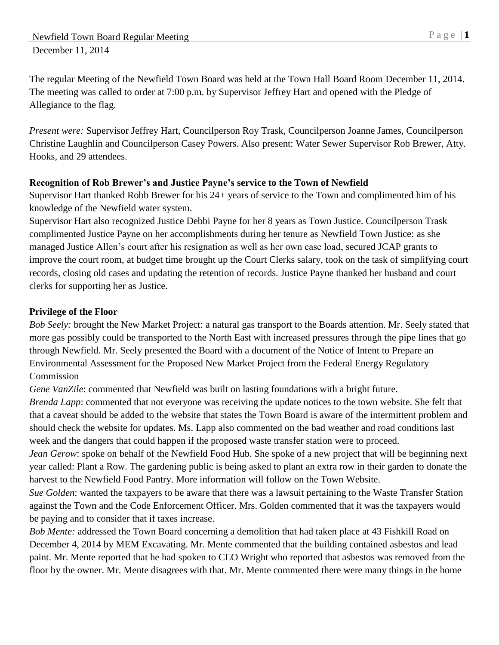The regular Meeting of the Newfield Town Board was held at the Town Hall Board Room December 11, 2014. The meeting was called to order at 7:00 p.m. by Supervisor Jeffrey Hart and opened with the Pledge of Allegiance to the flag.

*Present were:* Supervisor Jeffrey Hart, Councilperson Roy Trask, Councilperson Joanne James, Councilperson Christine Laughlin and Councilperson Casey Powers. Also present: Water Sewer Supervisor Rob Brewer, Atty. Hooks, and 29 attendees.

## **Recognition of Rob Brewer's and Justice Payne's service to the Town of Newfield**

Supervisor Hart thanked Robb Brewer for his 24+ years of service to the Town and complimented him of his knowledge of the Newfield water system.

Supervisor Hart also recognized Justice Debbi Payne for her 8 years as Town Justice. Councilperson Trask complimented Justice Payne on her accomplishments during her tenure as Newfield Town Justice: as she managed Justice Allen's court after his resignation as well as her own case load, secured JCAP grants to improve the court room, at budget time brought up the Court Clerks salary, took on the task of simplifying court records, closing old cases and updating the retention of records. Justice Payne thanked her husband and court clerks for supporting her as Justice.

#### **Privilege of the Floor**

*Bob Seely:* brought the New Market Project: a natural gas transport to the Boards attention. Mr. Seely stated that more gas possibly could be transported to the North East with increased pressures through the pipe lines that go through Newfield. Mr. Seely presented the Board with a document of the Notice of Intent to Prepare an Environmental Assessment for the Proposed New Market Project from the Federal Energy Regulatory Commission

*Gene VanZile*: commented that Newfield was built on lasting foundations with a bright future.

*Brenda Lapp*: commented that not everyone was receiving the update notices to the town website. She felt that that a caveat should be added to the website that states the Town Board is aware of the intermittent problem and should check the website for updates. Ms. Lapp also commented on the bad weather and road conditions last week and the dangers that could happen if the proposed waste transfer station were to proceed.

*Jean Gerow*: spoke on behalf of the Newfield Food Hub. She spoke of a new project that will be beginning next year called: Plant a Row. The gardening public is being asked to plant an extra row in their garden to donate the harvest to the Newfield Food Pantry. More information will follow on the Town Website.

*Sue Golden*: wanted the taxpayers to be aware that there was a lawsuit pertaining to the Waste Transfer Station against the Town and the Code Enforcement Officer. Mrs. Golden commented that it was the taxpayers would be paying and to consider that if taxes increase.

*Bob Mente:* addressed the Town Board concerning a demolition that had taken place at 43 Fishkill Road on December 4, 2014 by MEM Excavating. Mr. Mente commented that the building contained asbestos and lead paint. Mr. Mente reported that he had spoken to CEO Wright who reported that asbestos was removed from the floor by the owner. Mr. Mente disagrees with that. Mr. Mente commented there were many things in the home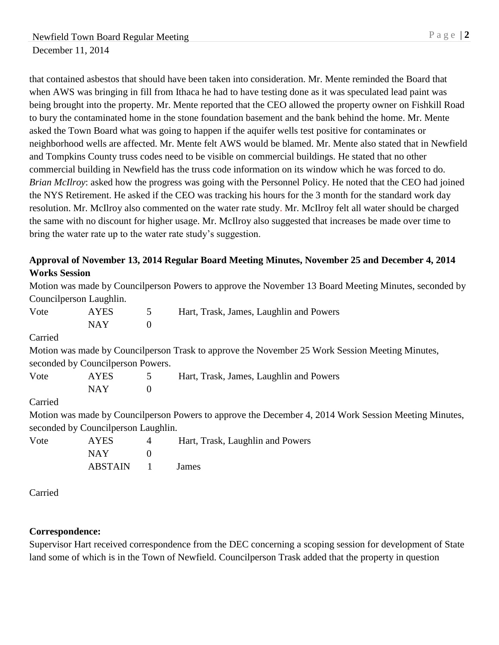that contained asbestos that should have been taken into consideration. Mr. Mente reminded the Board that when AWS was bringing in fill from Ithaca he had to have testing done as it was speculated lead paint was being brought into the property. Mr. Mente reported that the CEO allowed the property owner on Fishkill Road to bury the contaminated home in the stone foundation basement and the bank behind the home. Mr. Mente asked the Town Board what was going to happen if the aquifer wells test positive for contaminates or neighborhood wells are affected. Mr. Mente felt AWS would be blamed. Mr. Mente also stated that in Newfield and Tompkins County truss codes need to be visible on commercial buildings. He stated that no other commercial building in Newfield has the truss code information on its window which he was forced to do. *Brian McIlroy*: asked how the progress was going with the Personnel Policy. He noted that the CEO had joined the NYS Retirement. He asked if the CEO was tracking his hours for the 3 month for the standard work day resolution. Mr. McIlroy also commented on the water rate study. Mr. McIlroy felt all water should be charged the same with no discount for higher usage. Mr. McIlroy also suggested that increases be made over time to bring the water rate up to the water rate study's suggestion.

#### **Approval of November 13, 2014 Regular Board Meeting Minutes, November 25 and December 4, 2014 Works Session**

Motion was made by Councilperson Powers to approve the November 13 Board Meeting Minutes, seconded by Councilperson Laughlin. Vote AYES 5 Hart, Trask, James, Laughlin and Powers  $NAY$  0 Carried Motion was made by Councilperson Trask to approve the November 25 Work Session Meeting Minutes, seconded by Councilperson Powers. Vote AYES 5 Hart, Trask, James, Laughlin and Powers  $NAY$  0 Carried Motion was made by Councilperson Powers to approve the December 4, 2014 Work Session Meeting Minutes, seconded by Councilperson Laughlin. Vote AYES 4 Hart, Trask, Laughlin and Powers NAY 0 ABSTAIN 1 James

Carried

## **Correspondence:**

Supervisor Hart received correspondence from the DEC concerning a scoping session for development of State land some of which is in the Town of Newfield. Councilperson Trask added that the property in question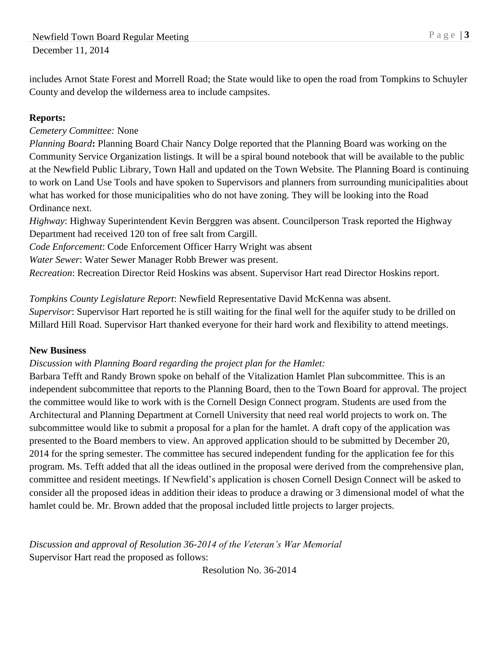includes Arnot State Forest and Morrell Road; the State would like to open the road from Tompkins to Schuyler County and develop the wilderness area to include campsites.

## **Reports:**

## *Cemetery Committee:* None

*Planning Board***:** Planning Board Chair Nancy Dolge reported that the Planning Board was working on the Community Service Organization listings. It will be a spiral bound notebook that will be available to the public at the Newfield Public Library, Town Hall and updated on the Town Website. The Planning Board is continuing to work on Land Use Tools and have spoken to Supervisors and planners from surrounding municipalities about what has worked for those municipalities who do not have zoning. They will be looking into the Road Ordinance next.

*Highway*: Highway Superintendent Kevin Berggren was absent. Councilperson Trask reported the Highway Department had received 120 ton of free salt from Cargill.

*Code Enforcement*: Code Enforcement Officer Harry Wright was absent

*Water Sewer*: Water Sewer Manager Robb Brewer was present.

*Recreation*: Recreation Director Reid Hoskins was absent. Supervisor Hart read Director Hoskins report.

# *Tompkins County Legislature Report*: Newfield Representative David McKenna was absent.

*Supervisor*: Supervisor Hart reported he is still waiting for the final well for the aquifer study to be drilled on Millard Hill Road. Supervisor Hart thanked everyone for their hard work and flexibility to attend meetings.

## **New Business**

## *Discussion with Planning Board regarding the project plan for the Hamlet:*

Barbara Tefft and Randy Brown spoke on behalf of the Vitalization Hamlet Plan subcommittee. This is an independent subcommittee that reports to the Planning Board, then to the Town Board for approval. The project the committee would like to work with is the Cornell Design Connect program. Students are used from the Architectural and Planning Department at Cornell University that need real world projects to work on. The subcommittee would like to submit a proposal for a plan for the hamlet. A draft copy of the application was presented to the Board members to view. An approved application should to be submitted by December 20, 2014 for the spring semester. The committee has secured independent funding for the application fee for this program. Ms. Tefft added that all the ideas outlined in the proposal were derived from the comprehensive plan, committee and resident meetings. If Newfield's application is chosen Cornell Design Connect will be asked to consider all the proposed ideas in addition their ideas to produce a drawing or 3 dimensional model of what the hamlet could be. Mr. Brown added that the proposal included little projects to larger projects.

*Discussion and approval of Resolution 36-2014 of the Veteran's War Memorial* Supervisor Hart read the proposed as follows:

Resolution No. 36-2014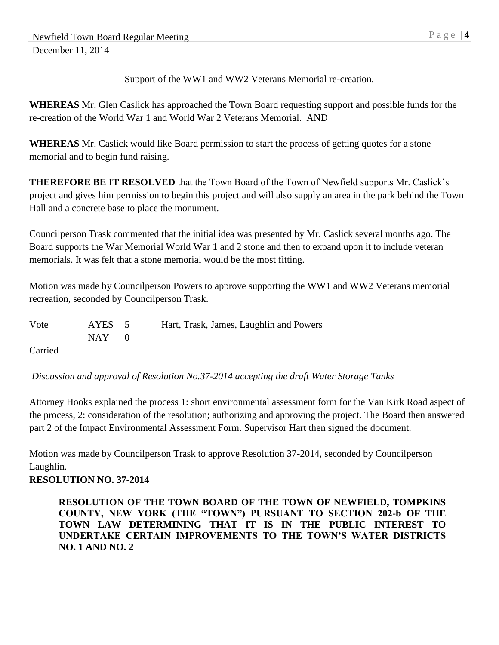Support of the WW1 and WW2 Veterans Memorial re-creation.

**WHEREAS** Mr. Glen Caslick has approached the Town Board requesting support and possible funds for the re-creation of the World War 1 and World War 2 Veterans Memorial. AND

**WHEREAS** Mr. Caslick would like Board permission to start the process of getting quotes for a stone memorial and to begin fund raising.

**THEREFORE BE IT RESOLVED** that the Town Board of the Town of Newfield supports Mr. Caslick's project and gives him permission to begin this project and will also supply an area in the park behind the Town Hall and a concrete base to place the monument.

Councilperson Trask commented that the initial idea was presented by Mr. Caslick several months ago. The Board supports the War Memorial World War 1 and 2 stone and then to expand upon it to include veteran memorials. It was felt that a stone memorial would be the most fitting.

Motion was made by Councilperson Powers to approve supporting the WW1 and WW2 Veterans memorial recreation, seconded by Councilperson Trask.

| Vote                 | AYES 5    | Hart, Trask, James, Laughlin and Powers |
|----------------------|-----------|-----------------------------------------|
|                      | $NAY = 0$ |                                         |
| $\sim$ $\sim$ $\sim$ |           |                                         |

Carried

*Discussion and approval of Resolution No.37-2014 accepting the draft Water Storage Tanks*

Attorney Hooks explained the process 1: short environmental assessment form for the Van Kirk Road aspect of the process, 2: consideration of the resolution; authorizing and approving the project. The Board then answered part 2 of the Impact Environmental Assessment Form. Supervisor Hart then signed the document.

Motion was made by Councilperson Trask to approve Resolution 37-2014, seconded by Councilperson Laughlin.

## **RESOLUTION NO. 37-2014**

**RESOLUTION OF THE TOWN BOARD OF THE TOWN OF NEWFIELD, TOMPKINS COUNTY, NEW YORK (THE "TOWN") PURSUANT TO SECTION 202-b OF THE TOWN LAW DETERMINING THAT IT IS IN THE PUBLIC INTEREST TO UNDERTAKE CERTAIN IMPROVEMENTS TO THE TOWN'S WATER DISTRICTS NO. 1 AND NO. 2**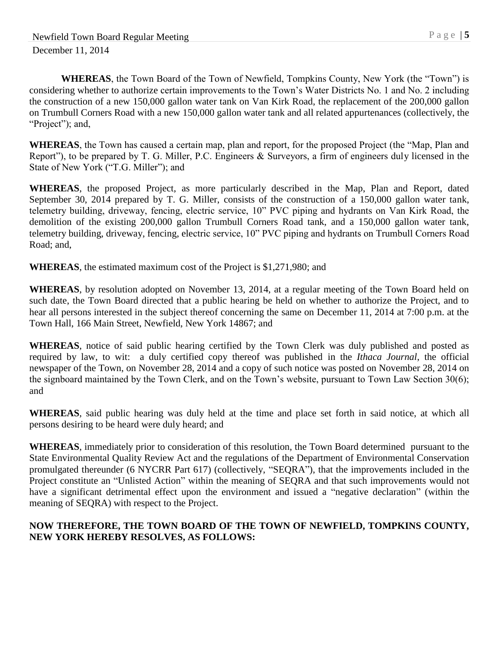**WHEREAS**, the Town Board of the Town of Newfield, Tompkins County, New York (the "Town") is considering whether to authorize certain improvements to the Town's Water Districts No. 1 and No. 2 including the construction of a new 150,000 gallon water tank on Van Kirk Road, the replacement of the 200,000 gallon on Trumbull Corners Road with a new 150,000 gallon water tank and all related appurtenances (collectively, the "Project"); and,

**WHEREAS**, the Town has caused a certain map, plan and report, for the proposed Project (the "Map, Plan and Report"), to be prepared by T. G. Miller, P.C. Engineers & Surveyors, a firm of engineers duly licensed in the State of New York ("T.G. Miller"); and

**WHEREAS**, the proposed Project, as more particularly described in the Map, Plan and Report, dated September 30, 2014 prepared by T. G. Miller, consists of the construction of a 150,000 gallon water tank, telemetry building, driveway, fencing, electric service, 10" PVC piping and hydrants on Van Kirk Road, the demolition of the existing 200,000 gallon Trumbull Corners Road tank, and a 150,000 gallon water tank, telemetry building, driveway, fencing, electric service, 10" PVC piping and hydrants on Trumbull Corners Road Road; and,

**WHEREAS**, the estimated maximum cost of the Project is \$1,271,980; and

**WHEREAS**, by resolution adopted on November 13, 2014, at a regular meeting of the Town Board held on such date, the Town Board directed that a public hearing be held on whether to authorize the Project, and to hear all persons interested in the subject thereof concerning the same on December 11, 2014 at 7:00 p.m. at the Town Hall, 166 Main Street, Newfield, New York 14867; and

**WHEREAS**, notice of said public hearing certified by the Town Clerk was duly published and posted as required by law, to wit: a duly certified copy thereof was published in the *Ithaca Journal*, the official newspaper of the Town, on November 28, 2014 and a copy of such notice was posted on November 28, 2014 on the signboard maintained by the Town Clerk, and on the Town's website, pursuant to Town Law Section 30(6); and

**WHEREAS**, said public hearing was duly held at the time and place set forth in said notice, at which all persons desiring to be heard were duly heard; and

**WHEREAS**, immediately prior to consideration of this resolution, the Town Board determined pursuant to the State Environmental Quality Review Act and the regulations of the Department of Environmental Conservation promulgated thereunder (6 NYCRR Part 617) (collectively, "SEQRA"), that the improvements included in the Project constitute an "Unlisted Action" within the meaning of SEQRA and that such improvements would not have a significant detrimental effect upon the environment and issued a "negative declaration" (within the meaning of SEQRA) with respect to the Project.

#### **NOW THEREFORE, THE TOWN BOARD OF THE TOWN OF NEWFIELD, TOMPKINS COUNTY, NEW YORK HEREBY RESOLVES, AS FOLLOWS:**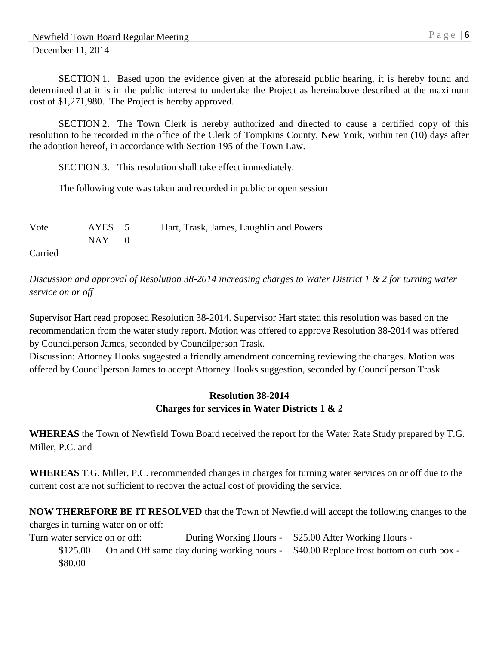SECTION 1. Based upon the evidence given at the aforesaid public hearing, it is hereby found and determined that it is in the public interest to undertake the Project as hereinabove described at the maximum cost of \$1,271,980. The Project is hereby approved.

SECTION 2. The Town Clerk is hereby authorized and directed to cause a certified copy of this resolution to be recorded in the office of the Clerk of Tompkins County, New York, within ten (10) days after the adoption hereof, in accordance with Section 195 of the Town Law.

SECTION 3. This resolution shall take effect immediately.

The following vote was taken and recorded in public or open session

| Vote                 | AYES 5    | Hart, Trask, James, Laughlin and Powers |
|----------------------|-----------|-----------------------------------------|
|                      | $NAY = 0$ |                                         |
| $\sim$ $\sim$ $\sim$ |           |                                         |

Carried

*Discussion and approval of Resolution 38-2014 increasing charges to Water District 1 & 2 for turning water service on or off*

Supervisor Hart read proposed Resolution 38-2014. Supervisor Hart stated this resolution was based on the recommendation from the water study report. Motion was offered to approve Resolution 38-2014 was offered by Councilperson James, seconded by Councilperson Trask.

Discussion: Attorney Hooks suggested a friendly amendment concerning reviewing the charges. Motion was offered by Councilperson James to accept Attorney Hooks suggestion, seconded by Councilperson Trask

#### **Resolution 38-2014 Charges for services in Water Districts 1 & 2**

**WHEREAS** the Town of Newfield Town Board received the report for the Water Rate Study prepared by T.G. Miller, P.C. and

**WHEREAS** T.G. Miller, P.C. recommended changes in charges for turning water services on or off due to the current cost are not sufficient to recover the actual cost of providing the service.

**NOW THEREFORE BE IT RESOLVED** that the Town of Newfield will accept the following changes to the charges in turning water on or off:

Turn water service on or off: During Working Hours - \$25.00 After Working Hours -

\$125.00 On and Off same day during working hours - \$40.00 Replace frost bottom on curb box -\$80.00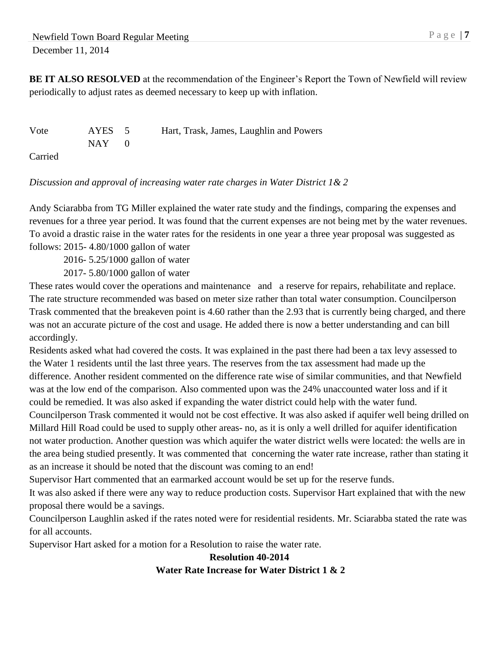**BE IT ALSO RESOLVED** at the recommendation of the Engineer's Report the Town of Newfield will review periodically to adjust rates as deemed necessary to keep up with inflation.

Vote AYES 5 Hart, Trask, James, Laughlin and Powers  $NAY$  0 Carried

#### *Discussion and approval of increasing water rate charges in Water District 1& 2*

Andy Sciarabba from TG Miller explained the water rate study and the findings, comparing the expenses and revenues for a three year period. It was found that the current expenses are not being met by the water revenues. To avoid a drastic raise in the water rates for the residents in one year a three year proposal was suggested as follows: 2015- 4.80/1000 gallon of water

2016- 5.25/1000 gallon of water

2017- 5.80/1000 gallon of water

These rates would cover the operations and maintenance and a reserve for repairs, rehabilitate and replace. The rate structure recommended was based on meter size rather than total water consumption. Councilperson Trask commented that the breakeven point is 4.60 rather than the 2.93 that is currently being charged, and there was not an accurate picture of the cost and usage. He added there is now a better understanding and can bill accordingly.

Residents asked what had covered the costs. It was explained in the past there had been a tax levy assessed to the Water 1 residents until the last three years. The reserves from the tax assessment had made up the difference. Another resident commented on the difference rate wise of similar communities, and that Newfield was at the low end of the comparison. Also commented upon was the 24% unaccounted water loss and if it could be remedied. It was also asked if expanding the water district could help with the water fund. Councilperson Trask commented it would not be cost effective. It was also asked if aquifer well being drilled on Millard Hill Road could be used to supply other areas- no, as it is only a well drilled for aquifer identification not water production. Another question was which aquifer the water district wells were located: the wells are in the area being studied presently. It was commented that concerning the water rate increase, rather than stating it

as an increase it should be noted that the discount was coming to an end!

Supervisor Hart commented that an earmarked account would be set up for the reserve funds.

It was also asked if there were any way to reduce production costs. Supervisor Hart explained that with the new proposal there would be a savings.

Councilperson Laughlin asked if the rates noted were for residential residents. Mr. Sciarabba stated the rate was for all accounts.

Supervisor Hart asked for a motion for a Resolution to raise the water rate.

#### **Resolution 40-2014 Water Rate Increase for Water District 1 & 2**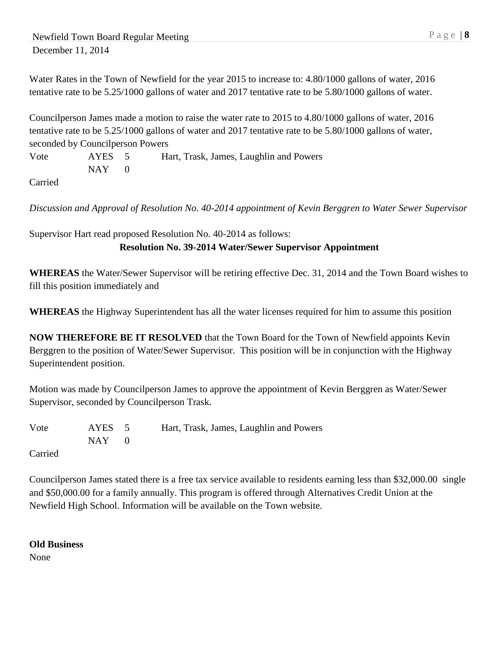Water Rates in the Town of Newfield for the year 2015 to increase to: 4.80/1000 gallons of water, 2016 tentative rate to be 5.25/1000 gallons of water and 2017 tentative rate to be 5.80/1000 gallons of water.

Councilperson James made a motion to raise the water rate to 2015 to 4.80/1000 gallons of water, 2016 tentative rate to be 5.25/1000 gallons of water and 2017 tentative rate to be 5.80/1000 gallons of water, seconded by Councilperson Powers

Vote AYES 5 Hart, Trask, James, Laughlin and Powers  $NAY$  0

Carried

*Discussion and Approval of Resolution No. 40-2014 appointment of Kevin Berggren to Water Sewer Supervisor*

Supervisor Hart read proposed Resolution No. 40-2014 as follows: **Resolution No. 39-2014 Water/Sewer Supervisor Appointment**

**WHEREAS** the Water/Sewer Supervisor will be retiring effective Dec. 31, 2014 and the Town Board wishes to fill this position immediately and

**WHEREAS** the Highway Superintendent has all the water licenses required for him to assume this position

**NOW THEREFORE BE IT RESOLVED** that the Town Board for the Town of Newfield appoints Kevin Berggren to the position of Water/Sewer Supervisor. This position will be in conjunction with the Highway Superintendent position.

Motion was made by Councilperson James to approve the appointment of Kevin Berggren as Water/Sewer Supervisor, seconded by Councilperson Trask.

Vote AYES 5 Hart, Trask, James, Laughlin and Powers  $NAY$  0

Carried

Councilperson James stated there is a free tax service available to residents earning less than \$32,000.00 single and \$50,000.00 for a family annually. This program is offered through Alternatives Credit Union at the Newfield High School. Information will be available on the Town website.

**Old Business**

None